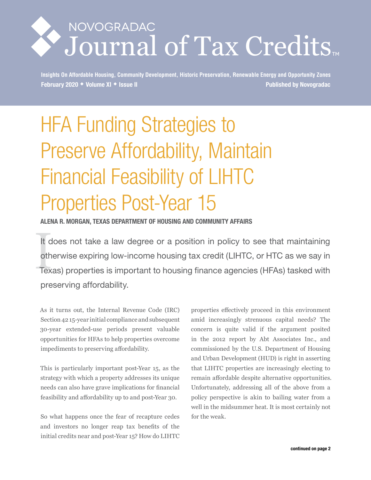# NOVOGRADAC Journal of Tax Credits

**Insights On Affordable Housing, Community Development, Historic Preservation, Renewable Energy and Opportunity Zones February 2020 Volume XI Issue II Published by Novogradac**

# HFA Funding Strategies to Preserve Affordability, Maintain Financial Feasibility of LIHTC Properties Post-Year 15

**ALENA R. MORGAN, TEXAS DEPARTMENT OF HOUSING AND COMMUNITY AFFAIRS**

It d<br>oth<br>Tex It does not take a law degree or a position in policy to see that maintaining otherwise expiring low-income housing tax credit (LIHTC, or HTC as we say in Texas) properties is important to housing finance agencies (HFAs) tasked with preserving affordability.

As it turns out, the Internal Revenue Code (IRC) Section 42 15-year initial compliance and subsequent 30-year extended-use periods present valuable opportunities for HFAs to help properties overcome impediments to preserving affordability.

This is particularly important post-Year 15, as the strategy with which a property addresses its unique needs can also have grave implications for financial feasibility and affordability up to and post-Year 30.

So what happens once the fear of recapture cedes and investors no longer reap tax benefits of the initial credits near and post-Year 15? How do LIHTC

properties effectively proceed in this environment amid increasingly strenuous capital needs? The concern is quite valid if the argument posited in the 2012 report by Abt Associates Inc., and commissioned by the U.S. Department of Housing and Urban Development (HUD) is right in asserting that LIHTC properties are increasingly electing to remain affordable despite alternative opportunities. Unfortunately, addressing all of the above from a policy perspective is akin to bailing water from a well in the midsummer heat. It is most certainly not for the weak.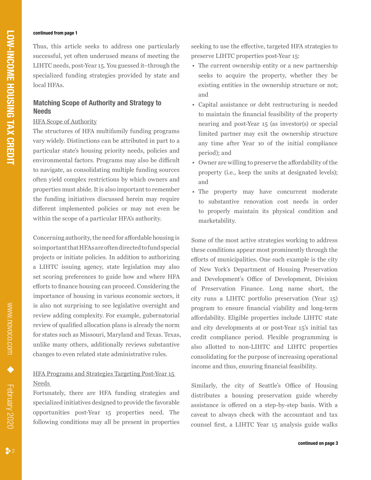#### **continued from page 1**

Thus, this article seeks to address one particularly successful, yet often underused means of meeting the LIHTC needs, post-Year 15. You guessed it–through the specialized funding strategies provided by state and local HFAs.

## **Matching Scope of Authority and Strategy to Needs**

#### HFA Scope of Authority

The structures of HFA multifamily funding programs vary widely. Distinctions can be attributed in part to a particular state's housing priority needs, policies and environmental factors. Programs may also be difficult to navigate, as consolidating multiple funding sources often yield complex restrictions by which owners and properties must abide. It is also important to remember the funding initiatives discussed herein may require different implemented policies or may not even be within the scope of a particular HFA's authority.

Concerning authority, the need for affordable housing is so important that HFAs are often directed to fund special projects or initiate policies. In addition to authorizing a LIHTC issuing agency, state legislation may also set scoring preferences to guide how and where HFA efforts to finance housing can proceed. Considering the importance of housing in various economic sectors, it is also not surprising to see legislative oversight and review adding complexity. For example, gubernatorial review of qualified allocation plans is already the norm for states such as Missouri, Maryland and Texas. Texas, unlike many others, additionally reviews substantive changes to even related state administrative rules.

## HFA Programs and Strategies Targeting Post-Year 15 Needs

Fortunately, there are HFA funding strategies and specialized initiatives designed to provide the favorable opportunities post-Year 15 properties need. The following conditions may all be present in properties seeking to use the effective, targeted HFA strategies to preserve LIHTC properties post-Year 15:

- The current ownership entity or a new partnership seeks to acquire the property, whether they be existing entities in the ownership structure or not; and
- Capital assistance or debt restructuring is needed to maintain the financial feasibility of the property nearing and post-Year 15 (as investor(s) or special limited partner may exit the ownership structure any time after Year 10 of the initial compliance period); and
- Owner are willing to preserve the affordability of the property (i.e., keep the units at designated levels); and
- The property may have concurrent moderate to substantive renovation cost needs in order to properly maintain its physical condition and marketability.

Some of the most active strategies working to address these conditions appear most prominently through the efforts of municipalities. One such example is the city of New York's Department of Housing Preservation and Development's Office of Development, Division of Preservation Finance. Long name short, the city runs a LIHTC portfolio preservation (Year 15) program to ensure financial viability and long-term affordability. Eligible properties include LIHTC state and city developments at or post-Year 15's initial tax credit compliance period. Flexible programming is also allotted to non-LIHTC and LIHTC properties consolidating for the purpose of increasing operational income and thus, ensuring financial feasibility.

Similarly, the city of Seattle's Office of Housing distributes a housing preservation guide whereby assistance is offered on a step-by-step basis. With a caveat to always check with the accountant and tax counsel first, a LIHTC Year 15 analysis guide walks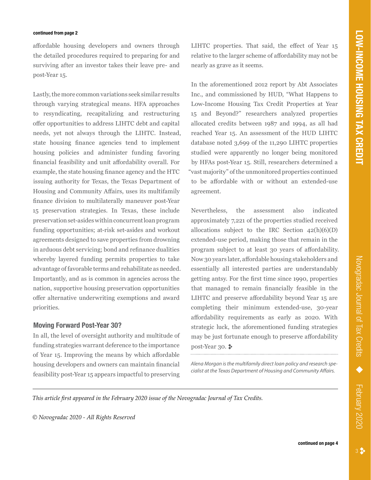#### **continued from page 2**

affordable housing developers and owners through the detailed procedures required to preparing for and surviving after an investor takes their leave pre- and post-Year 15.

Lastly, the more common variations seek similar results through varying strategical means. HFA approaches to resyndicating, recapitalizing and restructuring offer opportunities to address LIHTC debt and capital needs, yet not always through the LIHTC. Instead, state housing finance agencies tend to implement housing policies and administer funding favoring financial feasibility and unit affordability overall. For example, the state housing finance agency and the HTC issuing authority for Texas, the Texas Department of Housing and Community Affairs, uses its multifamily finance division to multilaterally maneuver post-Year 15 preservation strategies. In Texas, these include preservation set-asides within concurrent loan program funding opportunities; at-risk set-asides and workout agreements designed to save properties from drowning in arduous debt servicing; bond and refinance dualities whereby layered funding permits properties to take advantage of favorable terms and rehabilitate as needed. Importantly, and as is common in agencies across the nation, supportive housing preservation opportunities offer alternative underwriting exemptions and award priorities.

#### **Moving Forward Post-Year 30?**

In all, the level of oversight authority and multitude of funding strategies warrant deference to the importance of Year 15. Improving the means by which affordable housing developers and owners can maintain financial feasibility post-Year 15 appears impactful to preserving

LIHTC properties. That said, the effect of Year 15 relative to the larger scheme of affordability may not be nearly as grave as it seems.

In the aforementioned 2012 report by Abt Associates Inc., and commissioned by HUD, "What Happens to Low-Income Housing Tax Credit Properties at Year 15 and Beyond?" researchers analyzed properties allocated credits between 1987 and 1994, as all had reached Year 15. An assessment of the HUD LIHTC database noted 3,699 of the 11,290 LIHTC properties studied were apparently no longer being monitored by HFAs post-Year 15. Still, researchers determined a "vast majority" of the unmonitored properties continued to be affordable with or without an extended-use agreement.

Nevertheless, the assessment also indicated approximately 7,221 of the properties studied received allocations subject to the IRC Section  $42(h)(6)(D)$ extended-use period, making those that remain in the program subject to at least 30 years of affordability. Now 30 years later, affordable housing stakeholders and essentially all interested parties are understandably getting antsy. For the first time since 1990, properties that managed to remain financially feasible in the LIHTC and preserve affordability beyond Year 15 are completing their minimum extended-use, 30-year affordability requirements as early as 2020. With strategic luck, the aforementioned funding strategies may be just fortunate enough to preserve affordability  $post-Year$  30.  $\ast$ 

*Alena Morgan is the multifamily direct loan policy and research specialist at the Texas Department of Housing and Community Affairs.*

*This article first appeared in the February 2020 issue of the Novogradac Journal of Tax Credits.* 

*© Novogradac 2020 - All Rights Reserved*

February 2020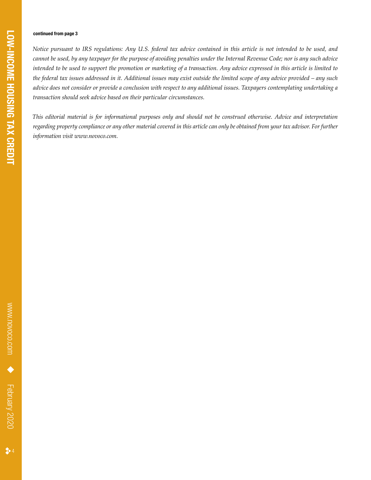#### **continued from page 3**

*Notice pursuant to IRS regulations: Any U.S. federal tax advice contained in this article is not intended to be used, and cannot be used, by any taxpayer for the purpose of avoiding penalties under the Internal Revenue Code; nor is any such advice intended to be used to support the promotion or marketing of a transaction. Any advice expressed in this article is limited to the federal tax issues addressed in it. Additional issues may exist outside the limited scope of any advice provided – any such advice does not consider or provide a conclusion with respect to any additional issues. Taxpayers contemplating undertaking a transaction should seek advice based on their particular circumstances.* 

*This editorial material is for informational purposes only and should not be construed otherwise. Advice and interpretation regarding property compliance or any other material covered in this article can only be obtained from your tax advisor. For further information visit www.novoco.com.*

 $\clubsuit$  4